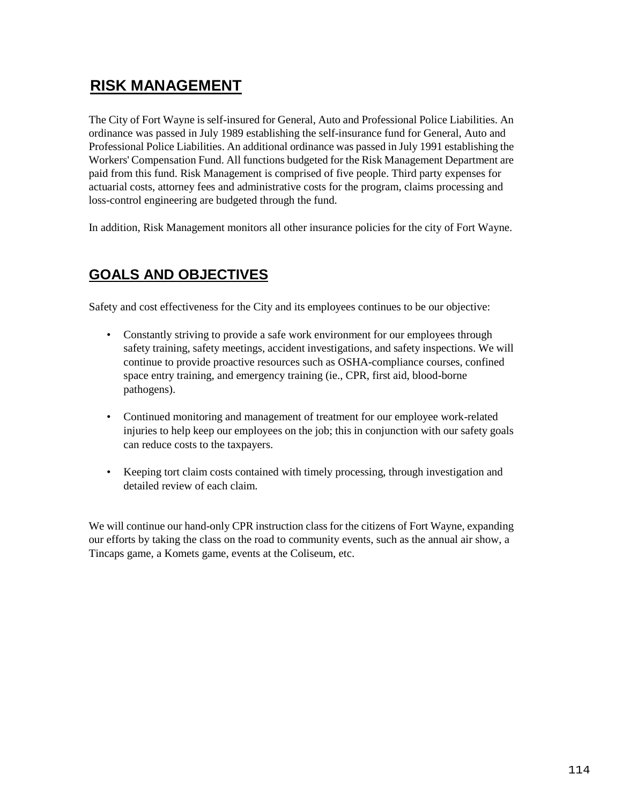## **RISK MANAGEMENT**

The City of Fort Wayne is self-insured for General, Auto and Professional Police Liabilities. An ordinance was passed in July 1989 establishing the self-insurance fund for General, Auto and Professional Police Liabilities. An additional ordinance was passed in July 1991 establishing the Workers' Compensation Fund. All functions budgeted for the Risk Management Department are paid from this fund. Risk Management is comprised of five people. Third party expenses for actuarial costs, attorney fees and administrative costs for the program, claims processing and loss-control engineering are budgeted through the fund.

In addition, Risk Management monitors all other insurance policies for the city of Fort Wayne.

## **GOALS AND OBJECTIVES**

Safety and cost effectiveness for the City and its employees continues to be our objective:

- Constantly striving to provide a safe work environment for our employees through safety training, safety meetings, accident investigations, and safety inspections. We will continue to provide proactive resources such as OSHA-compliance courses, confined space entry training, and emergency training (ie., CPR, first aid, blood-borne pathogens).
- Continued monitoring and management of treatment for our employee work-related injuries to help keep our employees on the job; this in conjunction with our safety goals can reduce costs to the taxpayers.
- Keeping tort claim costs contained with timely processing, through investigation and detailed review of each claim.

We will continue our hand-only CPR instruction class for the citizens of Fort Wayne, expanding our efforts by taking the class on the road to community events, such as the annual air show, a Tincaps game, a Komets game, events at the Coliseum, etc.